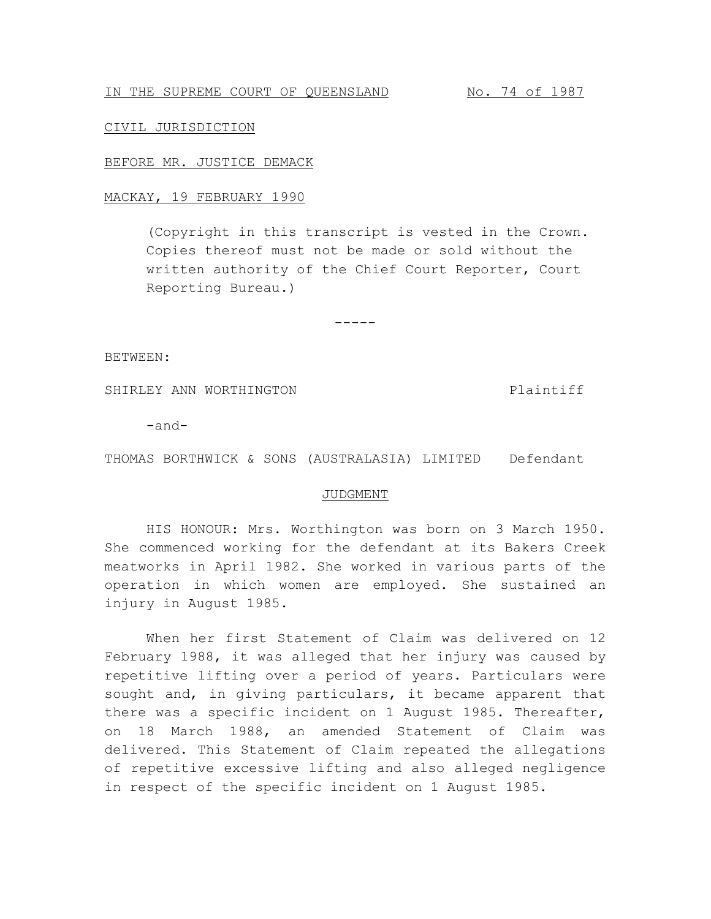IN THE SUPREME COURT OF QUEENSLAND No. 74 of 1987

## CIVIL JURISDICTION

## BEFORE MR. JUSTICE DEMACK

## MACKAY, 19 FEBRUARY 1990

(Copyright in this transcript is vested in the Crown. Copies thereof must not be made or sold without the written authority of the Chief Court Reporter, Court Reporting Bureau.)

-----

BETWEEN:

SHIRLEY ANN WORTHINGTON **Plaintiff** 

-and-

THOMAS BORTHWICK & SONS (AUSTRALASIA) LIMITED Defendant

## JUDGMENT

HIS HONOUR: Mrs. Worthington was born on 3 March 1950. She commenced working for the defendant at its Bakers Creek meatworks in April 1982. She worked in various parts of the operation in which women are employed. She sustained an injury in August 1985.

When her first Statement of Claim was delivered on 12 February 1988, it was alleged that her injury was caused by repetitive lifting over a period of years. Particulars were sought and, in giving particulars, it became apparent that there was a specific incident on 1 August 1985. Thereafter, on 18 March 1988, an amended Statement of Claim was delivered. This Statement of Claim repeated the allegations of repetitive excessive lifting and also alleged negligence in respect of the specific incident on 1 August 1985.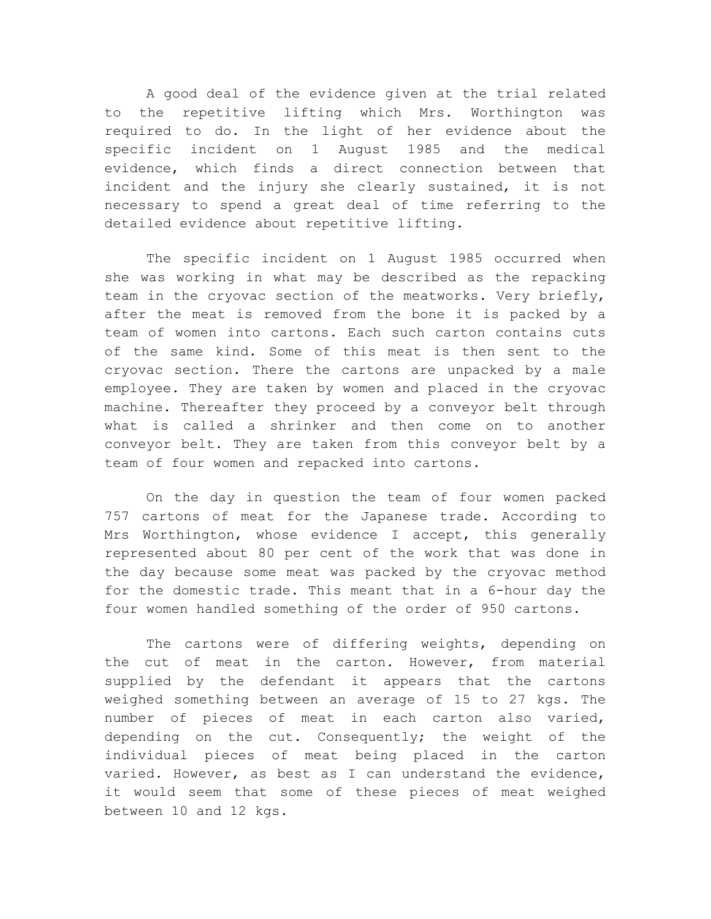A good deal of the evidence given at the trial related to the repetitive lifting which Mrs. Worthington was required to do. In the light of her evidence about the specific incident on 1 August 1985 and the medical evidence, which finds a direct connection between that incident and the injury she clearly sustained, it is not necessary to spend a great deal of time referring to the detailed evidence about repetitive lifting.

The specific incident on 1 August 1985 occurred when she was working in what may be described as the repacking team in the cryovac section of the meatworks. Very briefly, after the meat is removed from the bone it is packed by a team of women into cartons. Each such carton contains cuts of the same kind. Some of this meat is then sent to the cryovac section. There the cartons are unpacked by a male employee. They are taken by women and placed in the cryovac machine. Thereafter they proceed by a conveyor belt through what is called a shrinker and then come on to another conveyor belt. They are taken from this conveyor belt by a team of four women and repacked into cartons.

On the day in question the team of four women packed 757 cartons of meat for the Japanese trade. According to Mrs Worthington, whose evidence I accept, this generally represented about 80 per cent of the work that was done in the day because some meat was packed by the cryovac method for the domestic trade. This meant that in a 6-hour day the four women handled something of the order of 950 cartons.

The cartons were of differing weights, depending on the cut of meat in the carton. However, from material supplied by the defendant it appears that the cartons weighed something between an average of 15 to 27 kgs. The number of pieces of meat in each carton also varied, depending on the cut. Consequently; the weight of the individual pieces of meat being placed in the carton varied. However, as best as I can understand the evidence, it would seem that some of these pieces of meat weighed between 10 and 12 kgs.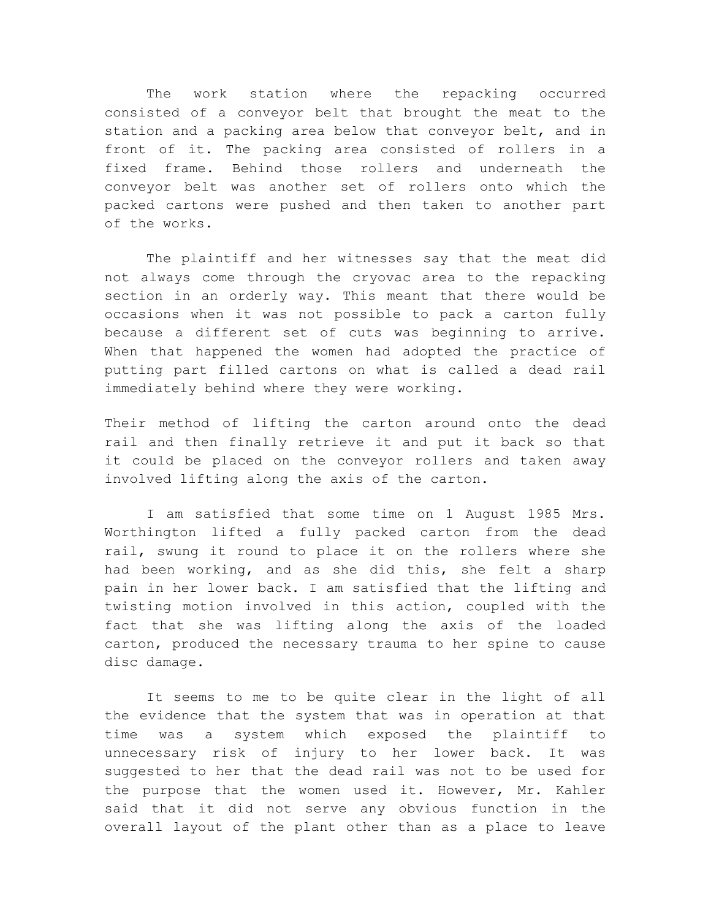The work station where the repacking occurred consisted of a conveyor belt that brought the meat to the station and a packing area below that conveyor belt, and in front of it. The packing area consisted of rollers in a fixed frame. Behind those rollers and underneath the conveyor belt was another set of rollers onto which the packed cartons were pushed and then taken to another part of the works.

The plaintiff and her witnesses say that the meat did not always come through the cryovac area to the repacking section in an orderly way. This meant that there would be occasions when it was not possible to pack a carton fully because a different set of cuts was beginning to arrive. When that happened the women had adopted the practice of putting part filled cartons on what is called a dead rail immediately behind where they were working.

Their method of lifting the carton around onto the dead rail and then finally retrieve it and put it back so that it could be placed on the conveyor rollers and taken away involved lifting along the axis of the carton.

I am satisfied that some time on 1 August 1985 Mrs. Worthington lifted a fully packed carton from the dead rail, swung it round to place it on the rollers where she had been working, and as she did this, she felt a sharp pain in her lower back. I am satisfied that the lifting and twisting motion involved in this action, coupled with the fact that she was lifting along the axis of the loaded carton, produced the necessary trauma to her spine to cause disc damage.

It seems to me to be quite clear in the light of all the evidence that the system that was in operation at that time was a system which exposed the plaintiff to unnecessary risk of injury to her lower back. It was suggested to her that the dead rail was not to be used for the purpose that the women used it. However, Mr. Kahler said that it did not serve any obvious function in the overall layout of the plant other than as a place to leave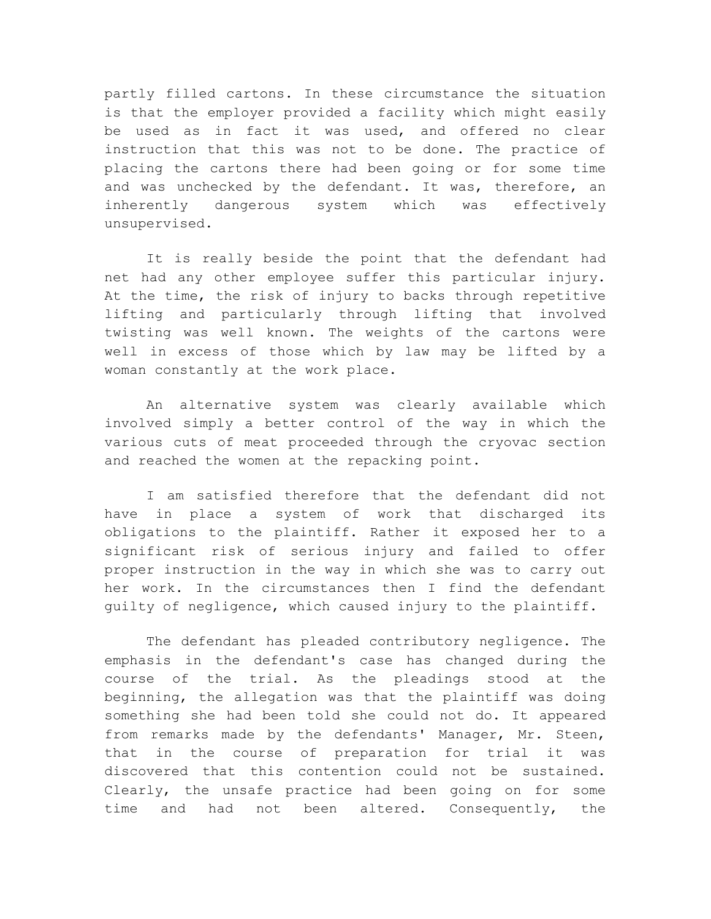partly filled cartons. In these circumstance the situation is that the employer provided a facility which might easily be used as in fact it was used, and offered no clear instruction that this was not to be done. The practice of placing the cartons there had been going or for some time and was unchecked by the defendant. It was, therefore, an inherently dangerous system which was effectively unsupervised.

It is really beside the point that the defendant had net had any other employee suffer this particular injury. At the time, the risk of injury to backs through repetitive lifting and particularly through lifting that involved twisting was well known. The weights of the cartons were well in excess of those which by law may be lifted by a woman constantly at the work place.

An alternative system was clearly available which involved simply a better control of the way in which the various cuts of meat proceeded through the cryovac section and reached the women at the repacking point.

I am satisfied therefore that the defendant did not have in place a system of work that discharged its obligations to the plaintiff. Rather it exposed her to a significant risk of serious injury and failed to offer proper instruction in the way in which she was to carry out her work. In the circumstances then I find the defendant guilty of negligence, which caused injury to the plaintiff.

The defendant has pleaded contributory negligence. The emphasis in the defendant's case has changed during the course of the trial. As the pleadings stood at the beginning, the allegation was that the plaintiff was doing something she had been told she could not do. It appeared from remarks made by the defendants' Manager, Mr. Steen, that in the course of preparation for trial it was discovered that this contention could not be sustained. Clearly, the unsafe practice had been going on for some time and had not been altered. Consequently, the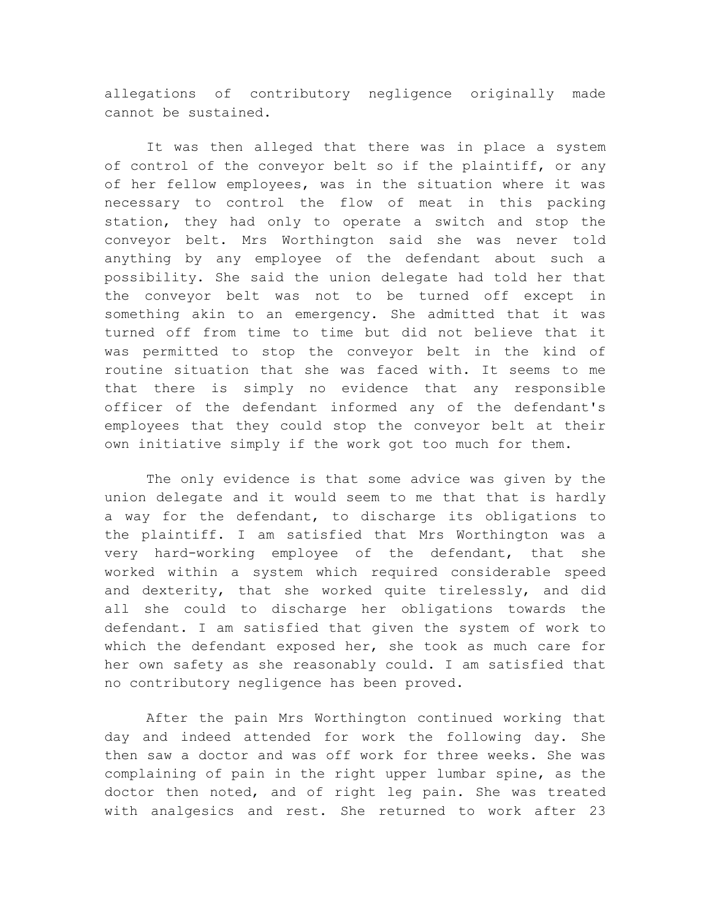allegations of contributory negligence originally made cannot be sustained.

It was then alleged that there was in place a system of control of the conveyor belt so if the plaintiff, or any of her fellow employees, was in the situation where it was necessary to control the flow of meat in this packing station, they had only to operate a switch and stop the conveyor belt. Mrs Worthington said she was never told anything by any employee of the defendant about such a possibility. She said the union delegate had told her that the conveyor belt was not to be turned off except in something akin to an emergency. She admitted that it was turned off from time to time but did not believe that it was permitted to stop the conveyor belt in the kind of routine situation that she was faced with. It seems to me that there is simply no evidence that any responsible officer of the defendant informed any of the defendant's employees that they could stop the conveyor belt at their own initiative simply if the work got too much for them.

The only evidence is that some advice was given by the union delegate and it would seem to me that that is hardly a way for the defendant, to discharge its obligations to the plaintiff. I am satisfied that Mrs Worthington was a very hard-working employee of the defendant, that she worked within a system which required considerable speed and dexterity, that she worked quite tirelessly, and did all she could to discharge her obligations towards the defendant. I am satisfied that given the system of work to which the defendant exposed her, she took as much care for her own safety as she reasonably could. I am satisfied that no contributory negligence has been proved.

After the pain Mrs Worthington continued working that day and indeed attended for work the following day. She then saw a doctor and was off work for three weeks. She was complaining of pain in the right upper lumbar spine, as the doctor then noted, and of right leg pain. She was treated with analgesics and rest. She returned to work after 23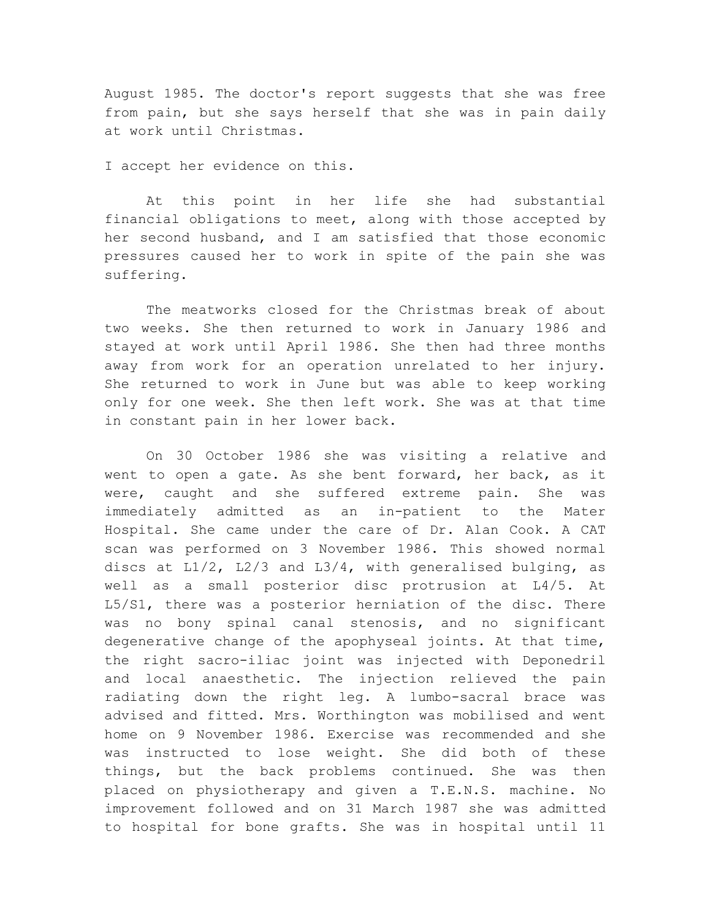August 1985. The doctor's report suggests that she was free from pain, but she says herself that she was in pain daily at work until Christmas.

I accept her evidence on this.

At this point in her life she had substantial financial obligations to meet, along with those accepted by her second husband, and I am satisfied that those economic pressures caused her to work in spite of the pain she was suffering.

The meatworks closed for the Christmas break of about two weeks. She then returned to work in January 1986 and stayed at work until April 1986. She then had three months away from work for an operation unrelated to her injury. She returned to work in June but was able to keep working only for one week. She then left work. She was at that time in constant pain in her lower back.

On 30 October 1986 she was visiting a relative and went to open a gate. As she bent forward, her back, as it were, caught and she suffered extreme pain. She was immediately admitted as an in-patient to the Mater Hospital. She came under the care of Dr. Alan Cook. A CAT scan was performed on 3 November 1986. This showed normal discs at L1/2, L2/3 and L3/4, with generalised bulging, as well as a small posterior disc protrusion at L4/5. At L5/S1, there was a posterior herniation of the disc. There was no bony spinal canal stenosis, and no significant degenerative change of the apophyseal joints. At that time, the right sacro-iliac joint was injected with Deponedril and local anaesthetic. The injection relieved the pain radiating down the right leg. A lumbo-sacral brace was advised and fitted. Mrs. Worthington was mobilised and went home on 9 November 1986. Exercise was recommended and she was instructed to lose weight. She did both of these things, but the back problems continued. She was then placed on physiotherapy and given a T.E.N.S. machine. No improvement followed and on 31 March 1987 she was admitted to hospital for bone grafts. She was in hospital until 11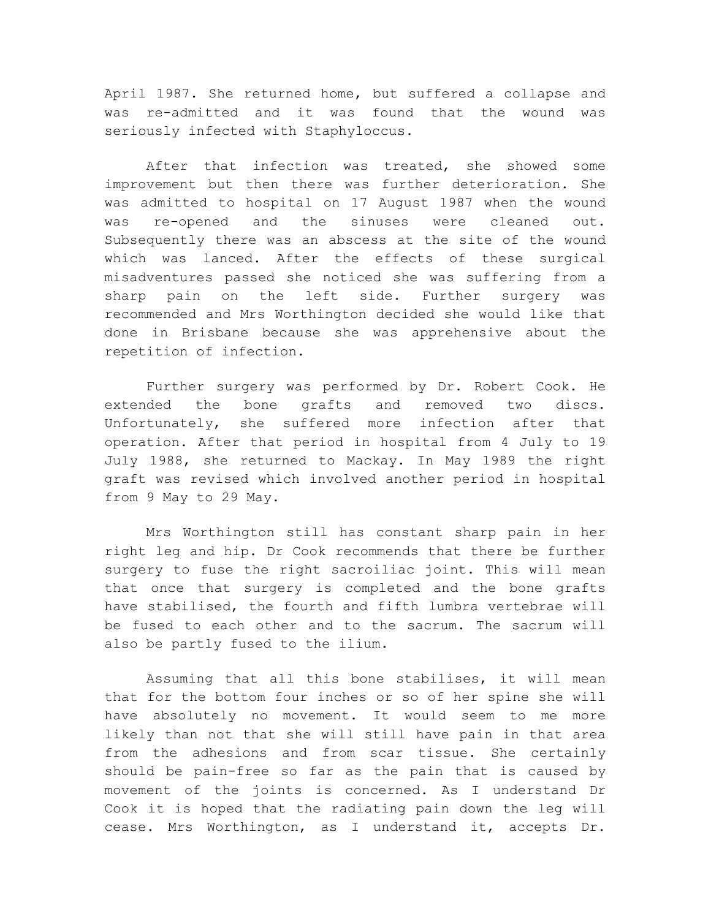April 1987. She returned home, but suffered a collapse and was re-admitted and it was found that the wound was seriously infected with Staphyloccus.

After that infection was treated, she showed some improvement but then there was further deterioration. She was admitted to hospital on 17 August 1987 when the wound was re-opened and the sinuses were cleaned out. Subsequently there was an abscess at the site of the wound which was lanced. After the effects of these surgical misadventures passed she noticed she was suffering from a sharp pain on the left side. Further surgery was recommended and Mrs Worthington decided she would like that done in Brisbane because she was apprehensive about the repetition of infection.

Further surgery was performed by Dr. Robert Cook. He extended the bone grafts and removed two discs. Unfortunately, she suffered more infection after that operation. After that period in hospital from 4 July to 19 July 1988, she returned to Mackay. In May 1989 the right graft was revised which involved another period in hospital from 9 May to 29 May.

Mrs Worthington still has constant sharp pain in her right leg and hip. Dr Cook recommends that there be further surgery to fuse the right sacroiliac joint. This will mean that once that surgery is completed and the bone grafts have stabilised, the fourth and fifth lumbra vertebrae will be fused to each other and to the sacrum. The sacrum will also be partly fused to the ilium.

Assuming that all this bone stabilises, it will mean that for the bottom four inches or so of her spine she will have absolutely no movement. It would seem to me more likely than not that she will still have pain in that area from the adhesions and from scar tissue. She certainly should be pain-free so far as the pain that is caused by movement of the joints is concerned. As I understand Dr Cook it is hoped that the radiating pain down the leg will cease. Mrs Worthington, as I understand it, accepts Dr.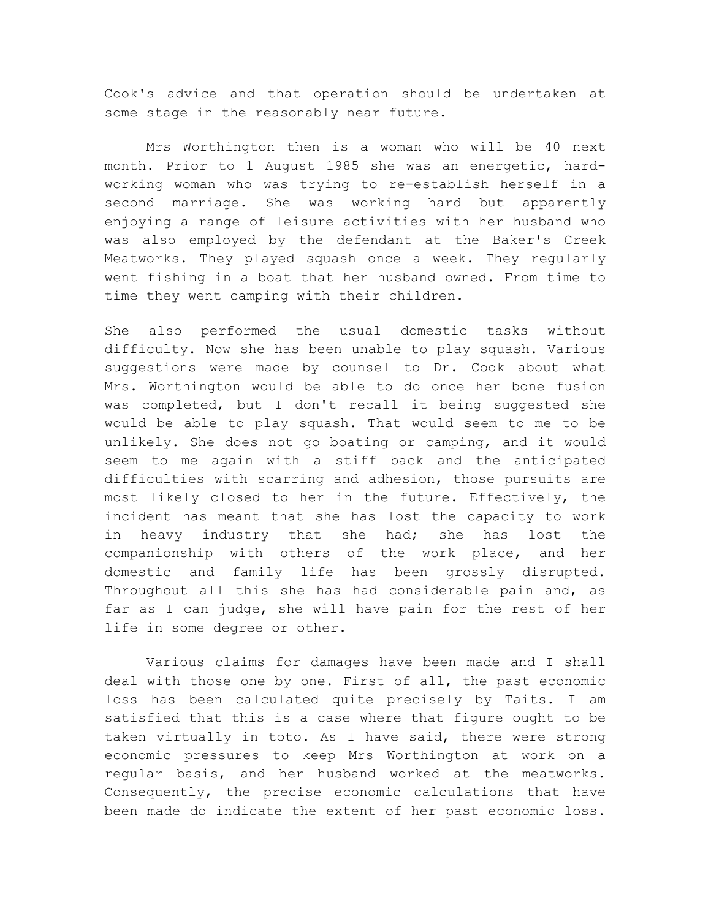Cook's advice and that operation should be undertaken at some stage in the reasonably near future.

Mrs Worthington then is a woman who will be 40 next month. Prior to 1 August 1985 she was an energetic, hardworking woman who was trying to re-establish herself in a second marriage. She was working hard but apparently enjoying a range of leisure activities with her husband who was also employed by the defendant at the Baker's Creek Meatworks. They played squash once a week. They regularly went fishing in a boat that her husband owned. From time to time they went camping with their children.

She also performed the usual domestic tasks without difficulty. Now she has been unable to play squash. Various suggestions were made by counsel to Dr. Cook about what Mrs. Worthington would be able to do once her bone fusion was completed, but I don't recall it being suggested she would be able to play squash. That would seem to me to be unlikely. She does not go boating or camping, and it would seem to me again with a stiff back and the anticipated difficulties with scarring and adhesion, those pursuits are most likely closed to her in the future. Effectively, the incident has meant that she has lost the capacity to work in heavy industry that she had; she has lost the companionship with others of the work place, and her domestic and family life has been grossly disrupted. Throughout all this she has had considerable pain and, as far as I can judge, she will have pain for the rest of her life in some degree or other.

Various claims for damages have been made and I shall deal with those one by one. First of all, the past economic loss has been calculated quite precisely by Taits. I am satisfied that this is a case where that figure ought to be taken virtually in toto. As I have said, there were strong economic pressures to keep Mrs Worthington at work on a regular basis, and her husband worked at the meatworks. Consequently, the precise economic calculations that have been made do indicate the extent of her past economic loss.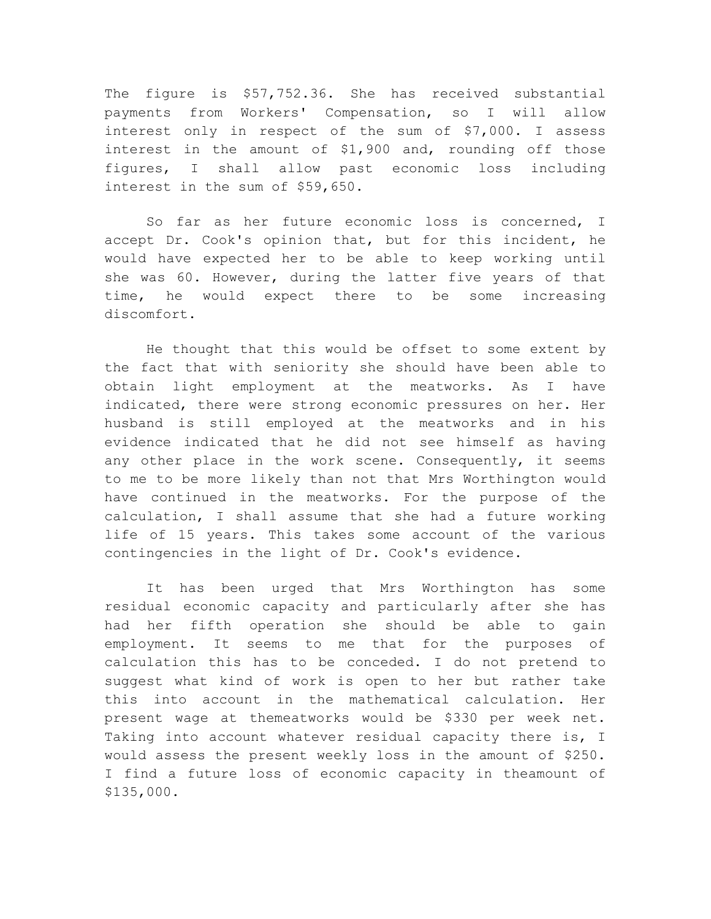The figure is \$57,752.36. She has received substantial payments from Workers' Compensation, so I will allow interest only in respect of the sum of \$7,000. I assess interest in the amount of \$1,900 and, rounding off those figures, I shall allow past economic loss including interest in the sum of \$59,650.

So far as her future economic loss is concerned, I accept Dr. Cook's opinion that, but for this incident, he would have expected her to be able to keep working until she was 60. However, during the latter five years of that time, he would expect there to be some increasing discomfort.

He thought that this would be offset to some extent by the fact that with seniority she should have been able to obtain light employment at the meatworks. As I have indicated, there were strong economic pressures on her. Her husband is still employed at the meatworks and in his evidence indicated that he did not see himself as having any other place in the work scene. Consequently, it seems to me to be more likely than not that Mrs Worthington would have continued in the meatworks. For the purpose of the calculation, I shall assume that she had a future working life of 15 years. This takes some account of the various contingencies in the light of Dr. Cook's evidence.

It has been urged that Mrs Worthington has some residual economic capacity and particularly after she has had her fifth operation she should be able to gain employment. It seems to me that for the purposes of calculation this has to be conceded. I do not pretend to suggest what kind of work is open to her but rather take this into account in the mathematical calculation. Her present wage at themeatworks would be \$330 per week net. Taking into account whatever residual capacity there is, I would assess the present weekly loss in the amount of \$250. I find a future loss of economic capacity in theamount of \$135,000.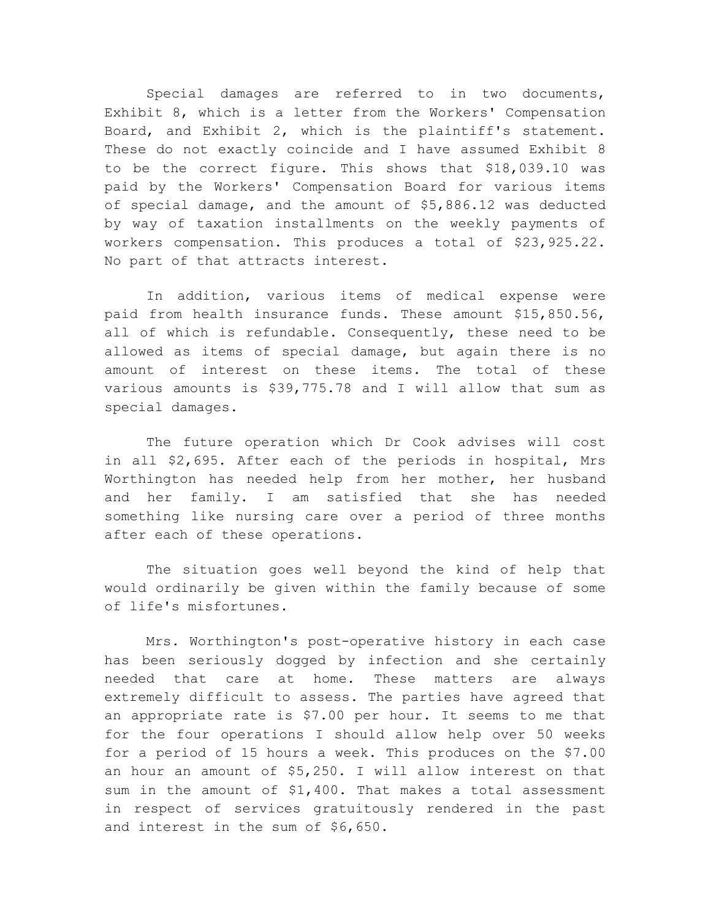Special damages are referred to in two documents, Exhibit 8, which is a letter from the Workers' Compensation Board, and Exhibit 2, which is the plaintiff's statement. These do not exactly coincide and I have assumed Exhibit 8 to be the correct figure. This shows that \$18,039.10 was paid by the Workers' Compensation Board for various items of special damage, and the amount of \$5,886.12 was deducted by way of taxation installments on the weekly payments of workers compensation. This produces a total of \$23,925.22. No part of that attracts interest.

In addition, various items of medical expense were paid from health insurance funds. These amount \$15,850.56, all of which is refundable. Consequently, these need to be allowed as items of special damage, but again there is no amount of interest on these items. The total of these various amounts is \$39,775.78 and I will allow that sum as special damages.

The future operation which Dr Cook advises will cost in all \$2,695. After each of the periods in hospital, Mrs Worthington has needed help from her mother, her husband and her family. I am satisfied that she has needed something like nursing care over a period of three months after each of these operations.

The situation goes well beyond the kind of help that would ordinarily be given within the family because of some of life's misfortunes.

Mrs. Worthington's post-operative history in each case has been seriously dogged by infection and she certainly needed that care at home. These matters are always extremely difficult to assess. The parties have agreed that an appropriate rate is \$7.00 per hour. It seems to me that for the four operations I should allow help over 50 weeks for a period of 15 hours a week. This produces on the \$7.00 an hour an amount of \$5,250. I will allow interest on that sum in the amount of \$1,400. That makes a total assessment in respect of services gratuitously rendered in the past and interest in the sum of \$6,650.